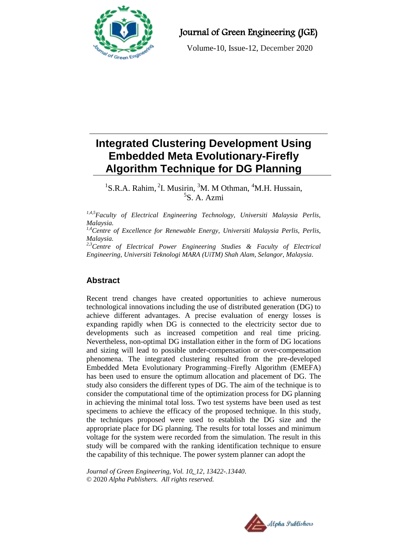

Journal of Green Engineering (JGE)

Volume-10, Issue-12, December 2020

# **Integrated Clustering Development Using Embedded Meta Evolutionary-Firefly Algorithm Technique for DG Planning**

<sup>1</sup>S.R.A. Rahim, <sup>2</sup>I. Musirin, <sup>3</sup>M. M Othman, <sup>4</sup>M.H. Hussain, 5 S. A. Azmi

*1,4,5Faculty of Electrical Engineering Technology, Universiti Malaysia Perlis, Malaysia.*

*1,4Centre of Excellence for Renewable Energy, Universiti Malaysia Perlis, Perlis, Malaysia.*

*2,3Centre of Electrical Power Engineering Studies & Faculty of Electrical Engineering, Universiti Teknologi MARA (UiTM) Shah Alam, Selangor, Malaysia.*

## **Abstract**

Recent trend changes have created opportunities to achieve numerous technological innovations including the use of distributed generation (DG) to achieve different advantages. A precise evaluation of energy losses is expanding rapidly when DG is connected to the electricity sector due to developments such as increased competition and real time pricing. Nevertheless, non-optimal DG installation either in the form of DG locations and sizing will lead to possible under-compensation or over-compensation phenomena. The integrated clustering resulted from the pre-developed Embedded Meta Evolutionary Programming–Firefly Algorithm (EMEFA) has been used to ensure the optimum allocation and placement of DG. The study also considers the different types of DG. The aim of the technique is to consider the computational time of the optimization process for DG planning in achieving the minimal total loss. Two test systems have been used as test specimens to achieve the efficacy of the proposed technique. In this study, the techniques proposed were used to establish the DG size and the appropriate place for DG planning. The results for total losses and minimum voltage for the system were recorded from the simulation. The result in this study will be compared with the ranking identification technique to ensure the capability of this technique. The power system planner can adopt the

*Journal of Green Engineering, Vol. 10\_12, 13422-.13440*. © 2020 *Alpha Publishers. All rights reserved.*

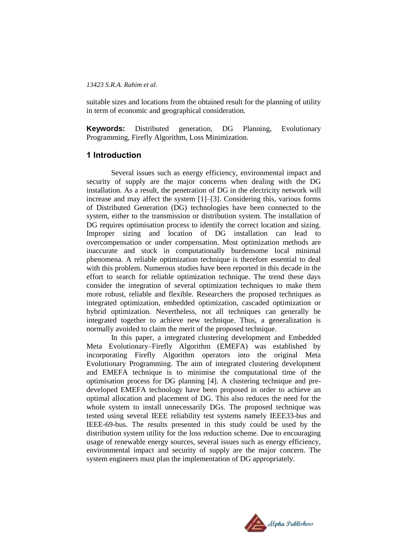suitable sizes and locations from the obtained result for the planning of utility in term of economic and geographical consideration.

**Keywords:** Distributed generation, DG Planning, Evolutionary Programming, Firefly Algorithm, Loss Minimization.

### **1 Introduction**

Several issues such as energy efficiency, environmental impact and security of supply are the major concerns when dealing with the DG installation. As a result, the penetration of DG in the electricity network will increase and may affect the system [1]–[3]. Considering this, various forms of Distributed Generation (DG) technologies have been connected to the system, either to the transmission or distribution system. The installation of DG requires optimisation process to identify the correct location and sizing. Improper sizing and location of DG installation can lead to overcompensation or under compensation. Most optimization methods are inaccurate and stuck in computationally burdensome local minimal phenomena. A reliable optimization technique is therefore essential to deal with this problem. Numerous studies have been reported in this decade in the effort to search for reliable optimization technique. The trend these days consider the integration of several optimization techniques to make them more robust, reliable and flexible. Researchers the proposed techniques as integrated optimization, embedded optimization, cascaded optimization or hybrid optimization. Nevertheless, not all techniques can generally be integrated together to achieve new technique. Thus, a generalization is normally avoided to claim the merit of the proposed technique.

In this paper, a integrated clustering development and Embedded Meta Evolutionary–Firefly Algorithm (EMEFA) was established by incorporating Firefly Algorithm operators into the original Meta Evolutionary Programming. The aim of integrated clustering development and EMEFA technique is to minimise the computational time of the optimisation process for DG planning [4]. A clustering technique and predeveloped EMEFA technology have been proposed in order to achieve an optimal allocation and placement of DG. This also reduces the need for the whole system to install unnecessarily DGs. The proposed technique was tested using several IEEE reliability test systems namely IEEE33-bus and IEEE-69-bus. The results presented in this study could be used by the distribution system utility for the loss reduction scheme. Due to encouraging usage of renewable energy sources, several issues such as energy efficiency, environmental impact and security of supply are the major concern. The system engineers must plan the implementation of DG appropriately.

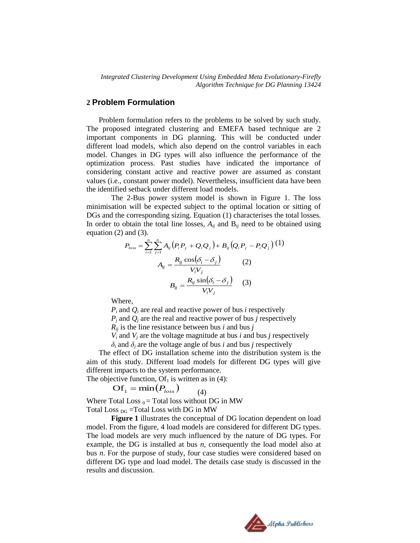### **2 Problem Formulation**

Problem formulation refers to the problems to be solved by such study. The proposed integrated clustering and EMEFA based technique are 2 important components in DG planning. This will be conducted under different load models, which also depend on the control variables in each model. Changes in DG types will also influence the performance of the optimization process. Past studies have indicated the importance of considering constant active and reactive power are assumed as constant values (i.e., constant power model). Nevertheless, insufficient data have been the identified setback under different load models.

The 2-Bus power system model is shown in Figure 1. The loss minimisation will be expected subject to the optimal location or sitting of DGs and the corresponding sizing. Equation (1) characterises the total losses. In order to obtain the total line losses,  $A_{ij}$  and  $B_{ij}$  need to be obtained using equation  $(2)$  and  $(3)$ .

$$
P_{loss} = \sum_{i=1}^{n} \sum_{j=1}^{n} A_{ij} (P_i P_j + Q_i Q_j) + B_{ij} (Q_i P_j - P_i Q_j) (1)
$$

$$
A_{ij} = \frac{R_{ij} \cos(\delta_i - \delta_j)}{V_i V_j}
$$
(2)
$$
B_{ij} = \frac{R_{ij} \sin(\delta_i - \delta_j)}{V_i V_j}
$$
(3)

Where,

 $P_i$  and  $Q_i$  are real and reactive power of bus *i* respectively  $P_i$  and  $Q_i$  are the real and reactive power of bus *j* respectively

 $R_{ij}$  is the line resistance between bus *i* and bus *j* 

 $V_i$  and  $V_j$  are the voltage magnitude at bus *i* and bus *j* respectively

 $\delta$ <sup>*i*</sup> and  $\delta$ <sup>*j*</sup> are the voltage angle of bus *i* and bus *j* respectively

The effect of DG installation scheme into the distribution system is the aim of this study. Different load models for different DG types will give different impacts to the system performance.

The objective function,  $Of<sub>1</sub>$  is written as in (4):

$$
\text{Of}_1 = \min(P_{loss}) \tag{4}
$$

Where Total Loss  $_0$  = Total loss without DG in MW Total Loss  $_{DG}$  =Total Loss with DG in MW

**Figure 1** illustrates the conceptual of DG location dependent on load model. From the figure, 4 load models are considered for different DG types. The load models are very much influenced by the nature of DG types. For example, the DG is installed at bus *n*, consequently the load model also at bus *n*. For the purpose of study, four case studies were considered based on different DG type and load model. The details case study is discussed in the results and discussion.

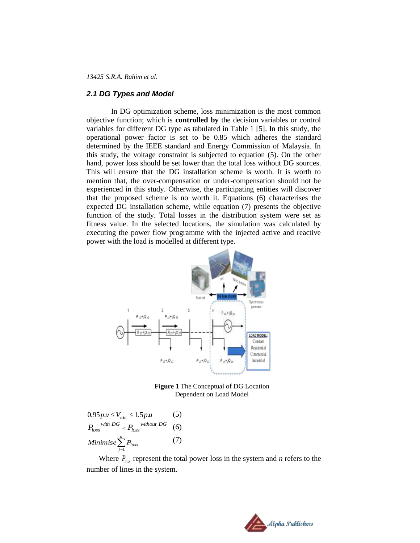### *2.1 DG Types and Model*

In DG optimization scheme, loss minimization is the most common objective function; which is **controlled by** the decision variables or control variables for different DG type as tabulated in Table 1 [5]. In this study, the operational power factor is set to be 0.85 which adheres the standard determined by the IEEE standard and Energy Commission of Malaysia. In this study, the voltage constraint is subjected to equation (5). On the other hand, power loss should be set lower than the total loss without DG sources. This will ensure that the DG installation scheme is worth. It is worth to mention that, the over-compensation or under-compensation should not be experienced in this study. Otherwise, the participating entities will discover that the proposed scheme is no worth it. Equations (6) characterises the expected DG installation scheme, while equation (7) presents the objective function of the study. Total losses in the distribution system were set as fitness value. In the selected locations, the simulation was calculated by executing the power flow programme with the injected active and reactive power with the load is modelled at different type.



**Figure 1** The Conceptual of DG Location Dependent on Load Model

$$
0.95 p.u \leq V_{\min} \leq 1.5 p.u
$$
 (5)  
\n
$$
P_{loss}^{with DG} < P_{loss}^{without DG} \quad (6)
$$
\n
$$
Minimise \sum_{j=1}^{n} P_{loss} \quad (7)
$$

Where  $P_{\text{loss}}$  represent the total power loss in the system and *n* refers to the number of lines in the system.

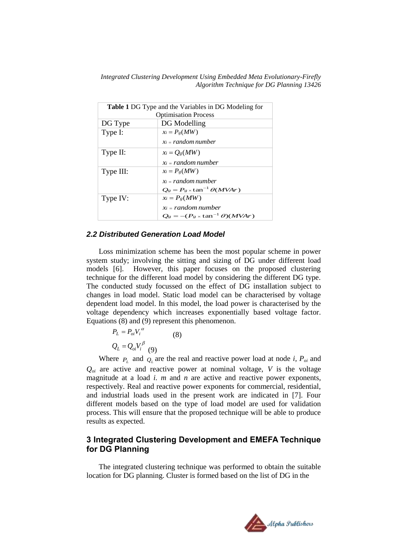|           | <b>Table 1 DG</b> Type and the Variables in DG Modeling for |
|-----------|-------------------------------------------------------------|
|           | <b>Optimisation Process</b>                                 |
| DG Type   | DG Modelling                                                |
| Type I:   | $x_i = P_g(MW)$                                             |
|           | $x_i$ = random number                                       |
| Type II:  | $x_i = O_g(MW)$                                             |
|           | $x_i$ = random number                                       |
| Type III: | $x_i = P_g(MW)$                                             |
|           | $x_i$ = random number                                       |
|           | $Q_g = P_g \times \tan^{-1} \theta(MVAr)$                   |
| Type IV:  | $x_i = P_g(MW)$                                             |
|           | $x_i$ = random number                                       |
|           | $Q_g = -(P_g \times \tan^{-1} \theta)(M V A r)$             |

### *2.2 Distributed Generation Load Model*

Loss minimization scheme has been the most popular scheme in power system study; involving the sitting and sizing of DG under different load models [6]. However, this paper focuses on the proposed clustering technique for the different load model by considering the different DG type. The conducted study focussed on the effect of DG installation subject to changes in load model. Static load model can be characterised by voltage dependent load model. In this model, the load power is characterised by the voltage dependency which increases exponentially based voltage factor. Equations (8) and (9) represent this phenomenon.

$$
P_L = P_{oi} V_i^{\alpha}
$$
  
\n
$$
Q_L = Q_{oi} V_i^{\beta}
$$
 (8)

Where  $P_L$  and  $Q_L$  are the real and reactive power load at node *i*,  $P_{oi}$  and  $Q_{oi}$  are active and reactive power at nominal voltage,  $V$  is the voltage magnitude at a load *i. m* and *n* are active and reactive power exponents, respectively. Real and reactive power exponents for commercial, residential, and industrial loads used in the present work are indicated in [7]. Four different models based on the type of load model are used for validation process. This will ensure that the proposed technique will be able to produce results as expected.

### **3 Integrated Clustering Development and EMEFA Technique for DG Planning**

The integrated clustering technique was performed to obtain the suitable location for DG planning. Cluster is formed based on the list of DG in the

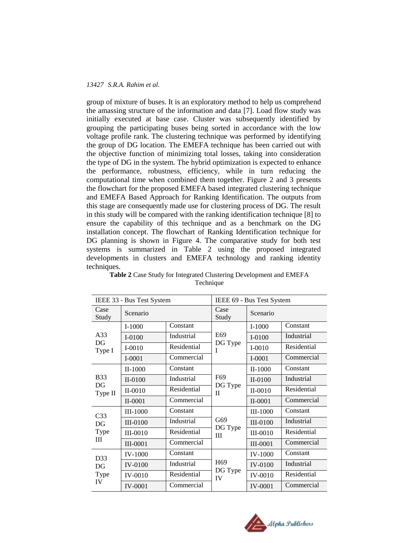group of mixture of buses. It is an exploratory method to help us comprehend the amassing structure of the information and data [7]. Load flow study was initially executed at base case. Cluster was subsequently identified by grouping the participating buses being sorted in accordance with the low voltage profile rank. The clustering technique was performed by identifying the group of DG location. The EMEFA technique has been carried out with the objective function of minimizing total losses, taking into consideration the type of DG in the system. The hybrid optimization is expected to enhance the performance, robustness, efficiency, while in turn reducing the computational time when combined them together. Figure 2 and 3 presents the flowchart for the proposed EMEFA based integrated clustering technique and EMEFA Based Approach for Ranking Identification. The outputs from this stage are consequently made use for clustering process of DG. The result in this study will be compared with the ranking identification technique [8] to ensure the capability of this technique and as a benchmark on the DG installation concept. The flowchart of Ranking Identification technique for DG planning is shown in Figure 4. The comparative study for both test systems is summarized in Table 2 using the proposed integrated developments in clusters and EMEFA technology and ranking identity techniques.

|                 | IEEE 33 - Bus Test System |             | IEEE 69 - Bus Test System                 |                 |             |
|-----------------|---------------------------|-------------|-------------------------------------------|-----------------|-------------|
| Case<br>Study   | Scenario                  |             | Case<br>Study                             | Scenario        |             |
|                 | $I-1000$                  | Constant    |                                           | $I-1000$        | Constant    |
| A33             | $I-0100$                  | Industrial  | E69                                       | $I-0100$        | Industrial  |
| DG<br>Type I    | $I-0010$                  | Residential | DG Type<br>I                              | $I-0010$        | Residential |
|                 | $I-0001$                  | Commercial  |                                           | $I-0001$        | Commercial  |
|                 | $II-1000$                 | Constant    |                                           | $II-1000$       | Constant    |
| <b>B33</b>      | II-0100                   | Industrial  | F <sub>69</sub><br>DG Type<br>$_{\rm II}$ | II-0100         | Industrial  |
| DG<br>Type II   | $II-0010$                 | Residential |                                           | $II-0010$       | Residential |
|                 | $II-0001$                 | Commercial  |                                           | $II-0001$       | Commercial  |
| C <sub>33</sub> | <b>III-1000</b>           | Constant    |                                           | <b>III-1000</b> | Constant    |
| DG              | <b>III-0100</b>           | Industrial  | G69                                       | <b>III-0100</b> | Industrial  |
| Type            | <b>III-0010</b>           | Residential | DG Type<br>Ш                              | <b>III-0010</b> | Residential |
| Ш               | III-0001                  | Commercial  |                                           | <b>III-0001</b> | Commercial  |
| D33             | <b>IV-1000</b>            | Constant    |                                           | <b>IV-1000</b>  | Constant    |
| DG              | IV-0100                   | Industrial  | H <sub>69</sub>                           | <b>IV-0100</b>  | Industrial  |
| Type            | IV-0010                   | Residential | DG Type<br>IV                             | IV-0010         | Residential |
| IV              | <b>IV-0001</b>            | Commercial  |                                           | <b>IV-0001</b>  | Commercial  |

**Table 2** Case Study for Integrated Clustering Development and EMEFA Technique

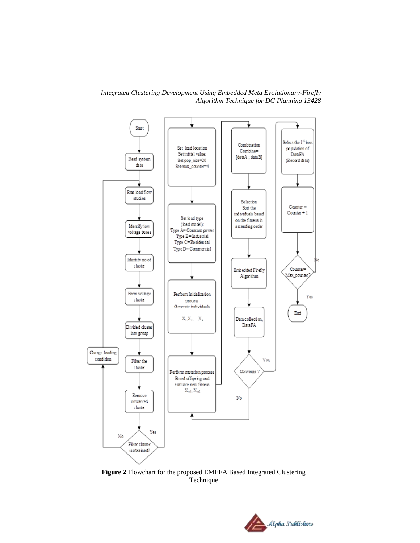*Integrated Clustering Development Using Embedded Meta Evolutionary-Firefly Algorithm Technique for DG Planning 13428*



**Figure 2** Flowchart for the proposed EMEFA Based Integrated Clustering Technique

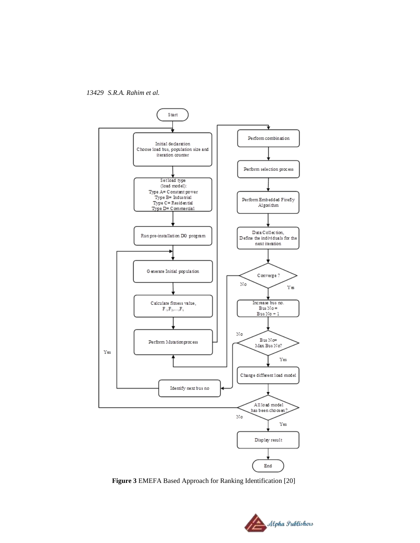*13429 S.R.A. Rahim et al.*



**Figure 3** EMEFA Based Approach for Ranking Identification [20]

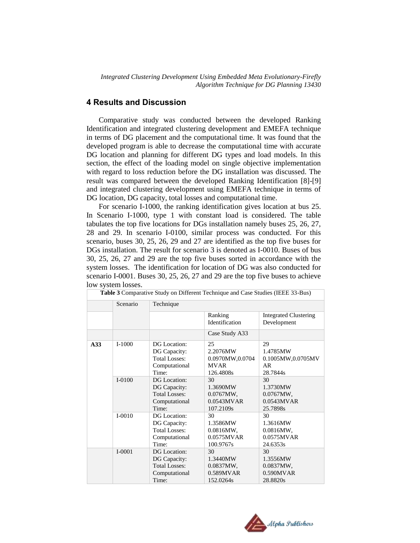### **4 Results and Discussion**

Comparative study was conducted between the developed Ranking Identification and integrated clustering development and EMEFA technique in terms of DG placement and the computational time. It was found that the developed program is able to decrease the computational time with accurate DG location and planning for different DG types and load models. In this section, the effect of the loading model on single objective implementation with regard to loss reduction before the DG installation was discussed. The result was compared between the developed Ranking Identification [8]-[9] and integrated clustering development using EMEFA technique in terms of DG location, DG capacity, total losses and computational time.

For scenario I-1000, the ranking identification gives location at bus 25. In Scenario I-1000, type 1 with constant load is considered. The table tabulates the top five locations for DGs installation namely buses 25, 26, 27, 28 and 29. In scenario I-0100, similar process was conducted. For this scenario, buses 30, 25, 26, 29 and 27 are identified as the top five buses for DGs installation. The result for scenario 3 is denoted as I-0010. Buses of bus 30, 25, 26, 27 and 29 are the top five buses sorted in accordance with the system losses. The identification for location of DG was also conducted for scenario I-0001. Buses 30, 25, 26, 27 and 29 are the top five buses to achieve low system losses.

|     |            | <b>Table 3</b> Comparative Study on Different Technique and Case Studies (IEEE 33-Bus) |                 |                              |  |
|-----|------------|----------------------------------------------------------------------------------------|-----------------|------------------------------|--|
|     | Scenario   | Technique                                                                              |                 |                              |  |
|     |            |                                                                                        | Ranking         | <b>Integrated Clustering</b> |  |
|     |            |                                                                                        | Identification  | Development                  |  |
|     |            |                                                                                        | Case Study A33  |                              |  |
| A33 | $I-1000$   | DG Location:                                                                           | 25              | 29                           |  |
|     |            | DG Capacity:                                                                           | 2.2076MW        | 1.4785MW                     |  |
|     |            | <b>Total Losses:</b>                                                                   | 0.0970MW,0.0704 | 0.1005MW,0.0705MV            |  |
|     |            | Computational                                                                          | <b>MVAR</b>     | AR                           |  |
|     |            | Time:                                                                                  | 126.4808s       | 28.7844s                     |  |
|     | $I-0100$   | DG Location:                                                                           | 30              | 30                           |  |
|     |            | DG Capacity:                                                                           | 1.3690MW        | 1.3730MW                     |  |
|     |            | <b>Total Losses:</b>                                                                   | 0.0767MW,       | 0.0767MW,                    |  |
|     |            | Computational                                                                          | 0.0543MVAR      | 0.0543MVAR                   |  |
|     |            | Time:                                                                                  | 107.2109s       | 25.7898s                     |  |
|     | $I - 0010$ | DG Location:                                                                           | 30              | 30                           |  |
|     |            | DG Capacity:                                                                           | 1.3586MW        | 1.3616MW                     |  |
|     |            | <b>Total Losses:</b>                                                                   | 0.0816MW,       | $0.0816MW$ ,                 |  |
|     |            | Computational                                                                          | 0.0575MVAR      | 0.0575MVAR                   |  |
|     |            | Time:                                                                                  | 100.9767s       | 24.6353s                     |  |
|     | $I - 0001$ | DG Location:                                                                           | 30              | 30                           |  |
|     |            | DG Capacity:                                                                           | 1.3440MW        | 1.3556MW                     |  |
|     |            | <b>Total Losses:</b>                                                                   | 0.0837MW,       | 0.0837MW,                    |  |
|     |            | Computational                                                                          | 0.589MVAR       | 0.590MVAR                    |  |
|     |            | Time:                                                                                  | 152.0264s       | 28.8820s                     |  |

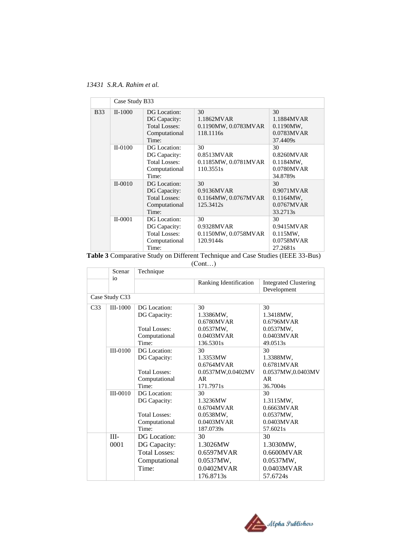*13431 S.R.A. Rahim et al.*

|             | Case Study B33 |                                                                                |                                                       |                                                               |
|-------------|----------------|--------------------------------------------------------------------------------|-------------------------------------------------------|---------------------------------------------------------------|
| <b>B</b> 33 | $II-1000$      | DG Location:<br>DG Capacity:<br><b>Total Losses:</b><br>Computational<br>Time: | 30<br>1.1862MVAR<br>0.1190MW, 0.0783MVAR<br>118.1116s | 30<br>1.1884MVAR<br>0.1190MW,<br>0.0783MVAR<br>37.4409s       |
|             | $II-0100$      | DG Location:<br>DG Capacity:<br><b>Total Losses:</b><br>Computational<br>Time: | 30<br>0.8513MVAR<br>0.1185MW, 0.0781MVAR<br>110.3551s | 30<br>$0.8260$ MVAR<br>$0.1184MW$ ,<br>0.0780MVAR<br>34.8789s |
|             | $II-0010$      | DG Location:<br>DG Capacity:<br><b>Total Losses:</b><br>Computational<br>Time: | 30<br>0.9136MVAR<br>0.1164MW, 0.0767MVAR<br>125.3412s | 30<br>0.9071MVAR<br>$0.1164MW$ ,<br>0.0767MVAR<br>33.2713s    |
|             | $II-0001$      | DG Location:<br>DG Capacity:<br><b>Total Losses:</b><br>Computational<br>Time: | 30<br>0.9328MVAR<br>0.1150MW, 0.0758MVAR<br>120.9144s | 30<br>0.9415MVAR<br>$0.115MW$ ,<br>0.0758MVAR<br>27.2681s     |

|  |  |  | Table 3 Comparative Study on Different Technique and Case Studies (IEEE 33-Bus) |
|--|--|--|---------------------------------------------------------------------------------|
|--|--|--|---------------------------------------------------------------------------------|

(Cont…)

|                 | Scenar          | Technique                                                             |                                                         |                                                          |
|-----------------|-----------------|-----------------------------------------------------------------------|---------------------------------------------------------|----------------------------------------------------------|
|                 | 10 <sup>o</sup> |                                                                       | Ranking Identification                                  | <b>Integrated Clustering</b><br>Development              |
|                 | Case Study C33  |                                                                       |                                                         |                                                          |
| C <sub>33</sub> | III-1000        | DG Location:<br>DG Capacity:<br><b>Total Losses:</b>                  | 30<br>1.3386MW,<br>0.6780MVAR<br>0.0537MW,              | 30<br>1.3418MW,<br>0.6796MVAR<br>0.0537MW,               |
|                 |                 | Computational<br>Time:                                                | 0.0403MVAR<br>136.5301s                                 | 0.0403MVAR<br>49.0513s                                   |
|                 | $III-0100$      | DG Location:<br>DG Capacity:                                          | 30<br>1.3353MW<br>0.6764MVAR                            | 30<br>1.3388MW,<br>0.6781MVAR                            |
|                 |                 | <b>Total Losses:</b><br>Computational<br>Time:                        | 0.0537MW,0.0402MV<br>AR.<br>171.7971s                   | 0.0537MW,0.0403MV<br>AR<br>36.7004s                      |
|                 | $III-0010$      | DG Location:<br>DG Capacity:<br><b>Total Losses:</b><br>Computational | 30<br>1.3236MW<br>0.6704MVAR<br>0.0538MW.<br>0.0403MVAR | 30<br>1.3115MW,<br>0.6663MVAR<br>0.0537MW,<br>0.0403MVAR |
|                 |                 | Time:                                                                 | 187.0739s                                               | 57.6021s                                                 |
|                 | $III -$<br>0001 | DG Location:<br>DG Capacity:<br><b>Total Losses:</b>                  | 30<br>1.3026MW<br>0.6597MVAR                            | 30<br>1.3030MW,<br>$0.6600$ MVAR                         |
|                 |                 | Computational<br>Time:                                                | 0.0537MW,<br>$0.0402$ MVAR<br>176.8713s                 | 0.0537MW,<br>$0.0403$ MVAR<br>57.6724s                   |

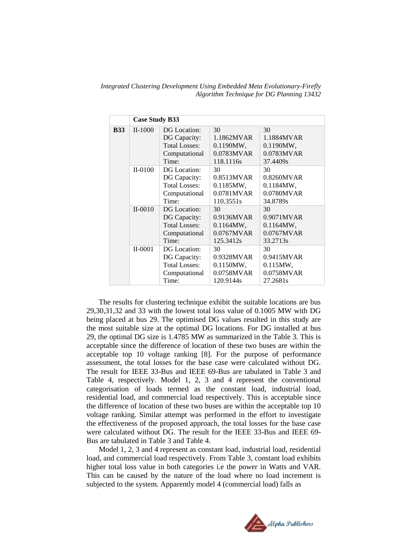*Integrated Clustering Development Using Embedded Meta Evolutionary-Firefly Algorithm Technique for DG Planning 13432*

|            | <b>Case Study B33</b> |                      |               |                      |
|------------|-----------------------|----------------------|---------------|----------------------|
| <b>B33</b> | $II-1000$             | DG Location:         | 30            | 30                   |
|            |                       | DG Capacity:         | 1.1862MVAR    | 1.1884MVAR           |
|            |                       | <b>Total Losses:</b> | $0.1190MW$ ,  | $0.1190MW$ ,         |
|            |                       | Computational        | 0.0783MVAR    | 0.0783MVAR           |
|            |                       | Time:                | 118.1116s     | 37.4409s             |
|            | $II-0100$             | DG Location:         | 30            | 30                   |
|            |                       | DG Capacity:         | 0.8513MVAR    | $0.8260$ MVAR        |
|            |                       | <b>Total Losses:</b> | $0.1185MW$ ,  | $0.1184MW$ ,         |
|            |                       | Computational        | $0.0781$ MVAR | 0.0780MVAR           |
|            |                       | Time:                | 110.3551s     | 34.8789s             |
|            | $II-0010$             | DG Location:         | 30            | 30                   |
|            |                       | DG Capacity:         | 0.9136MVAR    | 0.9071MVAR           |
|            |                       | <b>Total Losses:</b> | $0.1164MW$ ,  | $0.1164MW$ ,         |
|            |                       | Computational        | $0.0767$ MVAR | $0.0767$ MVAR        |
|            |                       | Time:                | 125.3412s     | 33.2713 <sub>s</sub> |
|            | $II-0001$             | DG Location:         | 30            | 30                   |
|            |                       | DG Capacity:         | 0.9328MVAR    | 0.9415MVAR           |
|            |                       | <b>Total Losses:</b> | 0.1150MW,     | $0.115MW$ ,          |
|            |                       | Computational        | 0.0758MVAR    | 0.0758MVAR           |
|            |                       | Time:                | 120.9144s     | 27.2681s             |

The results for clustering technique exhibit the suitable locations are bus 29,30,31,32 and 33 with the lowest total loss value of 0.1005 MW with DG being placed at bus 29. The optimised DG values resulted in this study are the most suitable size at the optimal DG locations. For DG installed at bus 29, the optimal DG size is 1.4785 MW as summarized in the Table 3. This is acceptable since the difference of location of these two buses are within the acceptable top 10 voltage ranking [8]. For the purpose of performance assessment, the total losses for the base case were calculated without DG. The result for IEEE 33-Bus and IEEE 69-Bus are tabulated in Table 3 and Table 4, respectively. Model 1, 2, 3 and 4 represent the conventional categorisation of loads termed as the constant load, industrial load, residential load, and commercial load respectively. This is acceptable since the difference of location of these two buses are within the acceptable top 10 voltage ranking. Similar attempt was performed in the effort to investigate the effectiveness of the proposed approach, the total losses for the base case were calculated without DG. The result for the IEEE 33-Bus and IEEE 69- Bus are tabulated in Table 3 and Table 4.

Model 1, 2, 3 and 4 represent as constant load, industrial load, residential load, and commercial load respectively. From Table 3, constant load exhibits higher total loss value in both categories i.e the power in Watts and VAR. This can be caused by the nature of the load where no load increment is subjected to the system. Apparently model 4 (commercial load) falls as

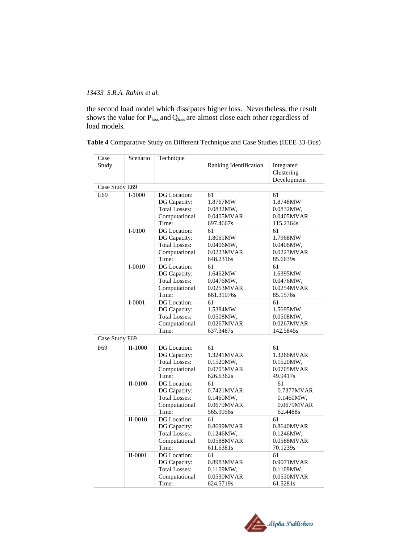the second load model which dissipates higher loss. Nevertheless, the result shows the value for  $P_{loss}$  and  $Q_{loss}$  are almost close each other regardless of load models.

| Table 4 Comparative Study on Different Technique and Case Studies (IEEE 33-Bus) |  |  |  |  |  |  |
|---------------------------------------------------------------------------------|--|--|--|--|--|--|
|---------------------------------------------------------------------------------|--|--|--|--|--|--|

| 0.7377MVAR |
|------------|
|            |
| 0.0679MVAR |
|            |
|            |
|            |
|            |
|            |
|            |
|            |
|            |
|            |
|            |
|            |
|            |

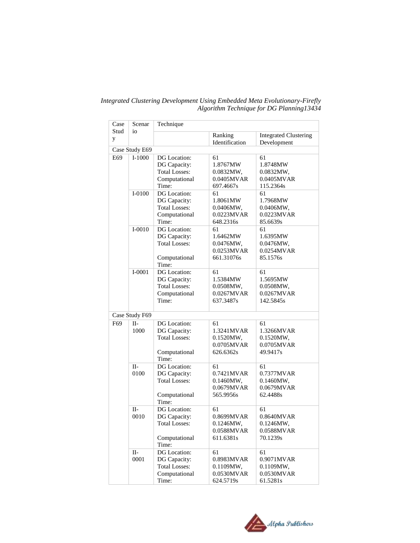| Case      | Scenar             | Technique                                                                      |                                                          |                                                         |
|-----------|--------------------|--------------------------------------------------------------------------------|----------------------------------------------------------|---------------------------------------------------------|
| Stud<br>y | io                 |                                                                                | Ranking<br>Identification                                | <b>Integrated Clustering</b><br>Development             |
|           | Case Study E69     |                                                                                |                                                          |                                                         |
| E69       | $I-1000$           | DG Location:<br>DG Capacity:<br><b>Total Losses:</b><br>Computational<br>Time: | 61<br>1.8767MW<br>0.0832MW,<br>0.0405MVAR<br>697.4667s   | 61<br>1.8748MW<br>0.0832MW,<br>0.0405MVAR<br>115.2364s  |
|           | $I-0100$           | DG Location:<br>DG Capacity:<br><b>Total Losses:</b><br>Computational<br>Time: | 61<br>1.8061MW<br>0.0406MW,<br>0.0223MVAR<br>648.2316s   | 61<br>1.7968MW<br>0.0406MW,<br>0.0223MVAR<br>85.6639s   |
|           | $I-0010$           | DG Location:<br>DG Capacity:<br><b>Total Losses:</b><br>Computational<br>Time: | 61<br>1.6462MW<br>0.0476MW,<br>0.0253MVAR<br>661.31076s  | 61<br>1.6395MW<br>0.0476MW,<br>0.0254MVAR<br>85.1576s   |
|           | $I-0001$           | DG Location:<br>DG Capacity:<br><b>Total Losses:</b><br>Computational<br>Time: | 61<br>1.5384MW<br>0.0508MW,<br>0.0267MVAR<br>637.3487s   | 61<br>1.5695MW<br>0.0508MW,<br>0.0267MVAR<br>142.5845s  |
|           | Case Study F69     |                                                                                |                                                          |                                                         |
| F69       | $II-$<br>1000      | DG Location:<br>DG Capacity:<br><b>Total Losses:</b><br>Computational<br>Time: | 61<br>1.3241MVAR<br>0.1520MW,<br>0.0705MVAR<br>626.6362s | 61<br>1.3266MVAR<br>0.1520MW,<br>0.0705MVAR<br>49.9417s |
|           | $II-$<br>0100      | DG Location:<br>DG Capacity:<br><b>Total Losses:</b><br>Computational<br>Time: | 61<br>0.7421MVAR<br>0.1460MW,<br>0.0679MVAR<br>565.9956s | 61<br>0.7377MVAR<br>0.1460MW,<br>0.0679MVAR<br>62.4488s |
|           | $II-$<br>0010      | DG Location:<br>DG Capacity:<br><b>Total Losses:</b><br>Computational<br>Time: | 61<br>0.8699MVAR<br>0.1246MW,<br>0.0588MVAR<br>611.6381s | 61<br>0.8640MVAR<br>0.1246MW,<br>0.0588MVAR<br>70.1239s |
|           | $\rm II$ -<br>0001 | DG Location:<br>DG Capacity:<br><b>Total Losses:</b><br>Computational<br>Time: | 61<br>0.8983MVAR<br>0.1109MW,<br>0.0530MVAR<br>624.5719s | 61<br>0.9071MVAR<br>0.1109MW,<br>0.0530MVAR<br>61.5281s |

*Integrated Clustering Development Using Embedded Meta Evolutionary-Firefly Algorithm Technique for DG Planning13434*

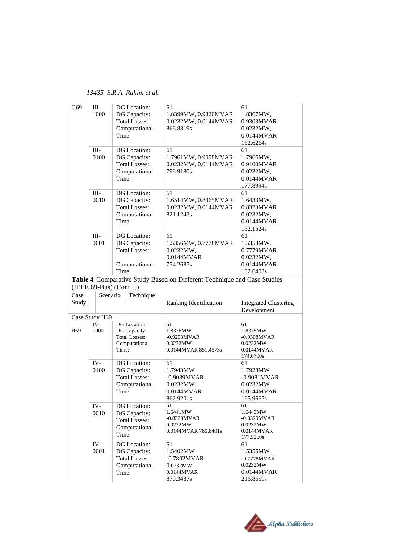*13435 S.R.A. Rahim et al.*

|                 | Ш-             | DG Location:           | 61                                                                      | 61                           |
|-----------------|----------------|------------------------|-------------------------------------------------------------------------|------------------------------|
| G69             |                |                        |                                                                         |                              |
|                 | 1000           | DG Capacity:           | 1.8399MW, 0.9320MVAR                                                    | 1.8367MW,                    |
|                 |                | <b>Total Losses:</b>   | 0.0232MW, 0.0144MVAR                                                    | 0.9303MVAR                   |
|                 |                | Computational          | 866.8819s                                                               | 0.0232MW,                    |
|                 |                | Time:                  |                                                                         | 0.0144MVAR                   |
|                 |                |                        |                                                                         | 152.6264s                    |
|                 | $III -$        | DG Location:           | 61                                                                      | 61                           |
|                 | 0100           | DG Capacity:           | 1.7961MW, 0.9098MVAR                                                    | 1.7966MW,                    |
|                 |                |                        |                                                                         |                              |
|                 |                | <b>Total Losses:</b>   | 0.0232MW, 0.0144MVAR                                                    | 0.9100MVAR                   |
|                 |                | Computational          | 796.9180s                                                               | 0.0232MW,                    |
|                 |                | Time:                  |                                                                         | 0.0144MVAR                   |
|                 |                |                        |                                                                         | 177.8994s                    |
|                 | Ш-             | DG Location:           | 61                                                                      | 61                           |
|                 | 0010           | DG Capacity:           | 1.6514MW, 0.8365MVAR                                                    | 1.6433MW,                    |
|                 |                | <b>Total Losses:</b>   | 0.0232MW, 0.0144MVAR                                                    | 0.8323MVAR                   |
|                 |                | Computational          | 821.1243s                                                               | 0.0232MW,                    |
|                 |                |                        |                                                                         |                              |
|                 |                | Time:                  |                                                                         | 0.0144MVAR                   |
|                 |                |                        |                                                                         | 152.1524s                    |
|                 | $III -$        | DG Location:           | 61                                                                      | 61                           |
|                 | 0001           | DG Capacity:           | 1.5356MW, 0.7778MVAR                                                    | 1.5358MW,                    |
|                 |                | <b>Total Losses:</b>   | 0.0232MW,                                                               | 0.7779MVAR                   |
|                 |                |                        | 0.0144MVAR                                                              | 0.0232MW,                    |
|                 |                | Computational          | 774.2687s                                                               | 0.0144MVAR                   |
|                 |                | Time:                  |                                                                         | 182.6403s                    |
|                 |                |                        | Table 4 Comparative Study Based on Different Technique and Case Studies |                              |
|                 |                | $(IEEE 69-Bus) (Cont)$ |                                                                         |                              |
| Case            | Scenario       | Technique              |                                                                         |                              |
| Study           |                |                        |                                                                         |                              |
|                 |                |                        | Ranking Identification                                                  | <b>Integrated Clustering</b> |
|                 |                |                        |                                                                         |                              |
|                 |                |                        |                                                                         | Development                  |
|                 | Case Study H69 |                        |                                                                         |                              |
|                 | IV-            | DG Location:           | 61                                                                      | 61                           |
| H <sub>69</sub> | 1000           | DG Capacity:           | 1.8326MW                                                                | 1.8375MW                     |
|                 |                | <b>Total Losses:</b>   | $-0.9283MVAR$                                                           | $-0.9308MVAR$                |
|                 |                | Computational          | 0.0232MW                                                                | 0.0232MW                     |
|                 |                | Time:                  | 0.0144MVAR 851.4573s                                                    | 0.0144MVAR                   |
|                 |                |                        |                                                                         | 174.0700s                    |
|                 | IV-            | DG Location:           | 61                                                                      | 61                           |
|                 | 0100           | DG Capacity:           | 1.7943MW                                                                | 1.7928MW                     |
|                 |                | <b>Total Losses:</b>   | $-0.9089MVAR$                                                           | $-0.9081MVAR$                |
|                 |                |                        | 0.0232MW                                                                | 0.0232MW                     |
|                 |                | Computational          |                                                                         |                              |
|                 |                | Time:                  | 0.0144MVAR                                                              | 0.0144MVAR                   |
|                 |                |                        | 862.9201s                                                               | 165.9665s                    |
|                 | IV-            | DG Location:           | 61                                                                      | 61                           |
|                 | 0010           | DG Capacity:           | 1.6441MW                                                                | 1.6443MW                     |
|                 |                | <b>Total Losses:</b>   | -0.8328MVAR                                                             | $-0.8329MVAR$                |
|                 |                | Computational          | 0.0232MW                                                                | 0.0232MW                     |
|                 |                | Time:                  | 0.0144MVAR 780.8401s                                                    | 0.0144MVAR                   |
|                 |                |                        |                                                                         | 177.5260s                    |
|                 | IV-            | DG Location:           | 61                                                                      | 61                           |
|                 | 0001           | DG Capacity:           | 1.5402MW                                                                | 1.5355MW                     |
|                 |                | <b>Total Losses:</b>   | $-0.7802MVAR$                                                           | $-0.7778MVAR$                |
|                 |                | Computational          | 0.0232MW                                                                | 0.0232MW                     |
|                 |                | Time:                  | 0.0144MVAR<br>870.3487s                                                 | 0.0144MVAR<br>216.8659s      |

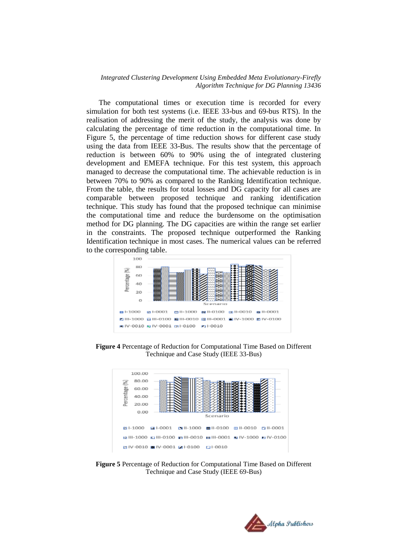The computational times or execution time is recorded for every simulation for both test systems (i.e. IEEE 33-bus and 69-bus RTS). In the realisation of addressing the merit of the study, the analysis was done by calculating the percentage of time reduction in the computational time. In Figure 5, the percentage of time reduction shows for different case study using the data from IEEE 33-Bus. The results show that the percentage of reduction is between 60% to 90% using the of integrated clustering development and EMEFA technique. For this test system, this approach managed to decrease the computational time. The achievable reduction is in between 70% to 90% as compared to the Ranking Identification technique. From the table, the results for total losses and DG capacity for all cases are comparable between proposed technique and ranking identification technique. This study has found that the proposed technique can minimise the computational time and reduce the burdensome on the optimisation method for DG planning. The DG capacities are within the range set earlier in the constraints. The proposed technique outperformed the Ranking Identification technique in most cases. The numerical values can be referred to the corresponding table.



**Figure 4** Percentage of Reduction for Computational Time Based on Different Technique and Case Study (IEEE 33-Bus)



**Figure 5** Percentage of Reduction for Computational Time Based on Different Technique and Case Study (IEEE 69-Bus)

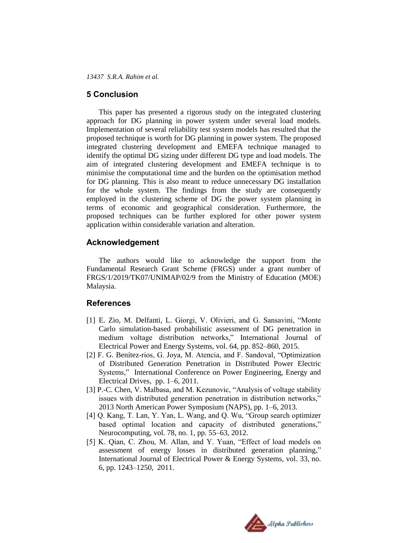### **5 Conclusion**

This paper has presented a rigorous study on the integrated clustering approach for DG planning in power system under several load models. Implementation of several reliability test system models has resulted that the proposed technique is worth for DG planning in power system. The proposed integrated clustering development and EMEFA technique managed to identify the optimal DG sizing under different DG type and load models. The aim of integrated clustering development and EMEFA technique is to minimise the computational time and the burden on the optimisation method for DG planning. This is also meant to reduce unnecessary DG installation for the whole system. The findings from the study are consequently employed in the clustering scheme of DG the power system planning in terms of economic and geographical consideration. Furthermore, the proposed techniques can be further explored for other power system application within considerable variation and alteration.

### **Acknowledgement**

The authors would like to acknowledge the support from the Fundamental Research Grant Scheme (FRGS) under a grant number of FRGS/1/2019/TK07/UNIMAP/02/9 from the Ministry of Education (MOE) Malaysia.

### **References**

- [1] E. Zio, M. Delfanti, L. Giorgi, V. Olivieri, and G. Sansavini, "Monte Carlo simulation-based probabilistic assessment of DG penetration in medium voltage distribution networks," International Journal of Electrical Power and Energy Systems, vol. 64, pp. 852–860, 2015.
- [2] F. G. Benítez-rios, G. Joya, M. Atencia, and F. Sandoval, "Optimization of Distributed Generation Penetration in Distributed Power Electric Systems," International Conference on Power Engineering, Energy and Electrical Drives, pp. 1–6, 2011.
- [3] P.-C. Chen, V. Malbasa, and M. Kezunovic, "Analysis of voltage stability issues with distributed generation penetration in distribution networks," 2013 North American Power Symposium (NAPS), pp. 1–6, 2013.
- [4] Q. Kang, T. Lan, Y. Yan, L. Wang, and Q. Wu, "Group search optimizer based optimal location and capacity of distributed generations," Neurocomputing, vol. 78, no. 1, pp. 55–63, 2012.
- [5] K. Qian, C. Zhou, M. Allan, and Y. Yuan, "Effect of load models on assessment of energy losses in distributed generation planning," International Journal of Electrical Power & Energy Systems, vol. 33, no. 6, pp. 1243–1250, 2011.

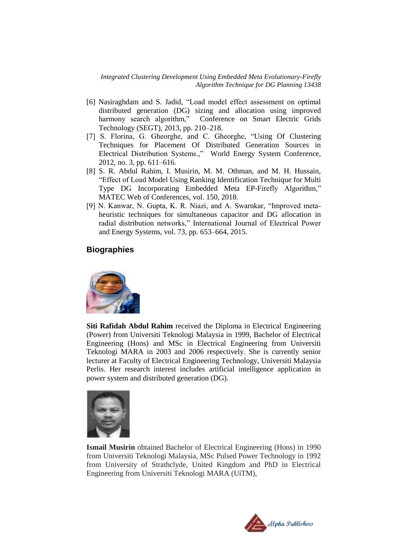- [6] Nasiraghdam and S. Jadid, "Load model effect assessment on optimal distributed generation (DG) sizing and allocation using improved harmony search algorithm," Conference on Smart Electric Grids Technology (SEGT), 2013, pp. 210–218.
- [7] S. Florina, G. Gheorghe, and C. Gheorghe, "Using Of Clustering Techniques for Placement Of Distributed Generation Sources in Electrical Distribution Systems.," World Energy System Conference, 2012, no. 3, pp. 611–616.
- [8] S. R. Abdul Rahim, I. Musirin, M. M. Othman, and M. H. Hussain, "Effect of Load Model Using Ranking Identification Technique for Multi Type DG Incorporating Embedded Meta EP-Firefly Algorithm," MATEC Web of Conferences, vol. 150, 2018.
- [9] N. Kanwar, N. Gupta, K. R. Niazi, and A. Swarnkar, "Improved metaheuristic techniques for simultaneous capacitor and DG allocation in radial distribution networks," International Journal of Electrical Power and Energy Systems, vol. 73, pp. 653–664, 2015.

### **Biographies**



**Siti Rafidah Abdul Rahim** received the Diploma in Electrical Engineering (Power) from Universiti Teknologi Malaysia in 1999, Bachelor of Electrical Engineering (Hons) and MSc in Electrical Engineering from Universiti Teknologi MARA in 2003 and 2006 respectively. She is currently senior lecturer at Faculty of Electrical Engineering Technology, Universiti Malaysia Perlis. Her research interest includes artificial intelligence application in power system and distributed generation (DG).



**Ismail Musirin** obtained Bachelor of Electrical Engineering (Hons) in 1990 from Universiti Teknologi Malaysia, MSc Pulsed Power Technology in 1992 from University of Strathclyde, United Kingdom and PhD in Electrical Engineering from Universiti Teknologi MARA (UiTM),

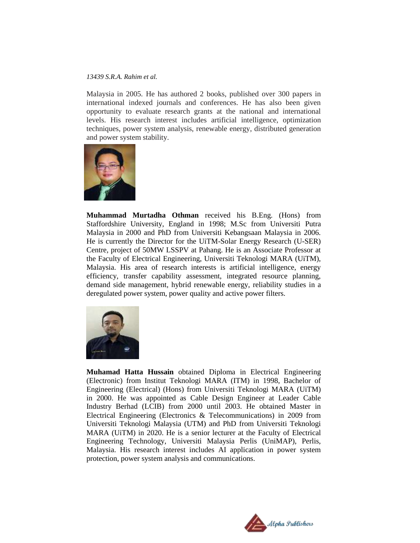Malaysia in 2005. He has authored 2 books, published over 300 papers in international indexed journals and conferences. He has also been given opportunity to evaluate research grants at the national and international levels. His research interest includes artificial intelligence, optimization techniques, power system analysis, renewable energy, distributed generation and power system stability.



**Muhammad Murtadha Othman** received his B.Eng. (Hons) from Staffordshire University, England in 1998; M.Sc from Universiti Putra Malaysia in 2000 and PhD from Universiti Kebangsaan Malaysia in 2006. He is currently the Director for the UiTM-Solar Energy Research (U-SER) Centre, project of 50MW LSSPV at Pahang. He is an Associate Professor at the Faculty of Electrical Engineering, Universiti Teknologi MARA (UiTM), Malaysia. His area of research interests is artificial intelligence, energy efficiency, transfer capability assessment, integrated resource planning, demand side management, hybrid renewable energy, reliability studies in a deregulated power system, power quality and active power filters.



**Muhamad Hatta Hussain** obtained Diploma in Electrical Engineering (Electronic) from Institut Teknologi MARA (ITM) in 1998, Bachelor of Engineering (Electrical) (Hons) from Universiti Teknologi MARA (UiTM) in 2000. He was appointed as Cable Design Engineer at Leader Cable Industry Berhad (LCIB) from 2000 until 2003. He obtained Master in Electrical Engineering (Electronics & Telecommunications) in 2009 from Universiti Teknologi Malaysia (UTM) and PhD from Universiti Teknologi MARA (UiTM) in 2020. He is a senior lecturer at the Faculty of Electrical Engineering Technology, Universiti Malaysia Perlis (UniMAP), Perlis, Malaysia. His research interest includes AI application in power system protection, power system analysis and communications.